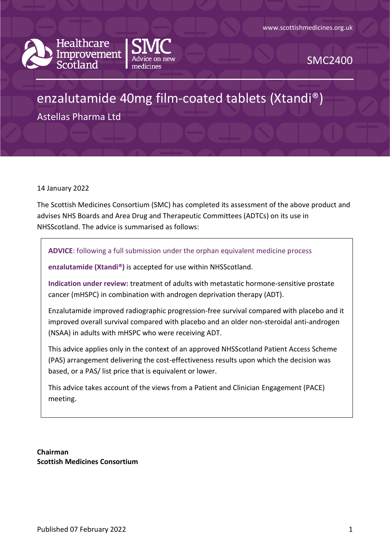



SMC2400

# enzalutamide 40mg film-coated tablets (Xtandi®)

Astellas Pharma Ltd

14 January 2022

The Scottish Medicines Consortium (SMC) has completed its assessment of the above product and advises NHS Boards and Area Drug and Therapeutic Committees (ADTCs) on its use in NHSScotland. The advice is summarised as follows:

**ADVICE**: following a full submission under the orphan equivalent medicine process

**enzalutamide (Xtandi®)** is accepted for use within NHSScotland.

**Indication under review:** treatment of adults with metastatic hormone-sensitive prostate cancer (mHSPC) in combination with androgen deprivation therapy (ADT).

Enzalutamide improved radiographic progression-free survival compared with placebo and it improved overall survival compared with placebo and an older non-steroidal anti-androgen (NSAA) in adults with mHSPC who were receiving ADT.

This advice applies only in the context of an approved NHSScotland Patient Access Scheme (PAS) arrangement delivering the cost-effectiveness results upon which the decision was based, or a PAS/ list price that is equivalent or lower.

This advice takes account of the views from a Patient and Clinician Engagement (PACE) meeting.

**Chairman Scottish Medicines Consortium**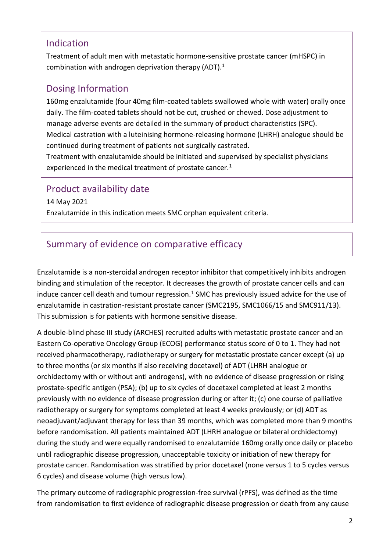### Indication

Treatment of adult men with metastatic hormone-sensitive prostate cancer (mHSPC) in combination with androgen deprivation therapy (ADT).<sup>1</sup>

### Dosing Information

160mg enzalutamide (four 40mg film-coated tablets swallowed whole with water) orally once daily. The film-coated tablets should not be cut, crushed or chewed. Dose adjustment to manage adverse events are detailed in the summary of product characteristics (SPC). Medical castration with a luteinising hormone-releasing hormone (LHRH) analogue should be continued during treatment of patients not surgically castrated.

Treatment with enzalutamide should be initiated and supervised by specialist physicians experienced in the medical treatment of prostate cancer.<sup>1</sup>

### Product availability date

14 May 2021

Enzalutamide in this indication meets SMC orphan equivalent criteria.

### Summary of evidence on comparative efficacy

Enzalutamide is a non-steroidal androgen receptor inhibitor that competitively inhibits androgen binding and stimulation of the receptor. It decreases the growth of prostate cancer cells and can induce cancer cell death and tumour regression. $<sup>1</sup>$  SMC has previously issued advice for the use of</sup> enzalutamide in castration-resistant prostate cancer (SMC2195, SMC1066/15 and SMC911/13). This submission is for patients with hormone sensitive disease.

A double-blind phase III study (ARCHES) recruited adults with metastatic prostate cancer and an Eastern Co-operative Oncology Group (ECOG) performance status score of 0 to 1. They had not received pharmacotherapy, radiotherapy or surgery for metastatic prostate cancer except (a) up to three months (or six months if also receiving docetaxel) of ADT (LHRH analogue or orchidectomy with or without anti androgens), with no evidence of disease progression or rising prostate-specific antigen (PSA); (b) up to six cycles of docetaxel completed at least 2 months previously with no evidence of disease progression during or after it; (c) one course of palliative radiotherapy or surgery for symptoms completed at least 4 weeks previously; or (d) ADT as neoadjuvant/adjuvant therapy for less than 39 months, which was completed more than 9 months before randomisation. All patients maintained ADT (LHRH analogue or bilateral orchidectomy) during the study and were equally randomised to enzalutamide 160mg orally once daily or placebo until radiographic disease progression, unacceptable toxicity or initiation of new therapy for prostate cancer. Randomisation was stratified by prior docetaxel (none versus 1 to 5 cycles versus 6 cycles) and disease volume (high versus low).

The primary outcome of radiographic progression-free survival (rPFS), was defined as the time from randomisation to first evidence of radiographic disease progression or death from any cause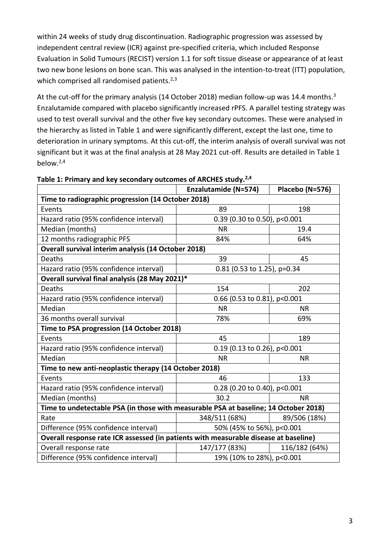within 24 weeks of study drug discontinuation. Radiographic progression was assessed by independent central review (ICR) against pre-specified criteria, which included Response Evaluation in Solid Tumours (RECIST) version 1.1 for soft tissue disease or appearance of at least two new bone lesions on bone scan. This was analysed in the intention-to-treat (ITT) population, which comprised all randomised patients.<sup>2,3</sup>

At the cut-off for the primary analysis (14 October 2018) median follow-up was 14.4 months.<sup>3</sup> Enzalutamide compared with placebo significantly increased rPFS. A parallel testing strategy was used to test overall survival and the other five key secondary outcomes. These were analysed in the hierarchy as listed in Table 1 and were significantly different, except the last one, time to deterioration in urinary symptoms. At this cut-off, the interim analysis of overall survival was not significant but it was at the final analysis at 28 May 2021 cut-off. Results are detailed in Table 1 below.2,4

|                                                                                      | <b>Enzalutamide (N=574)</b>  | Placebo (N=576) |  |  |
|--------------------------------------------------------------------------------------|------------------------------|-----------------|--|--|
| Time to radiographic progression (14 October 2018)                                   |                              |                 |  |  |
| Events                                                                               | 89                           | 198             |  |  |
| Hazard ratio (95% confidence interval)                                               | 0.39 (0.30 to 0.50), p<0.001 |                 |  |  |
| Median (months)                                                                      | <b>NR</b>                    | 19.4            |  |  |
| 12 months radiographic PFS                                                           | 84%                          | 64%             |  |  |
| Overall survival interim analysis (14 October 2018)                                  |                              |                 |  |  |
| Deaths                                                                               | 39                           | 45              |  |  |
| Hazard ratio (95% confidence interval)                                               | 0.81 (0.53 to 1.25), p=0.34  |                 |  |  |
| Overall survival final analysis (28 May 2021)*                                       |                              |                 |  |  |
| Deaths                                                                               | 154                          | 202             |  |  |
| Hazard ratio (95% confidence interval)                                               | 0.66 (0.53 to 0.81), p<0.001 |                 |  |  |
| Median                                                                               | <b>NR</b>                    | <b>NR</b>       |  |  |
| 36 months overall survival                                                           | 78%                          | 69%             |  |  |
| Time to PSA progression (14 October 2018)                                            |                              |                 |  |  |
| Events                                                                               | 45                           | 189             |  |  |
| Hazard ratio (95% confidence interval)                                               | 0.19 (0.13 to 0.26), p<0.001 |                 |  |  |
| Median                                                                               | <b>NR</b>                    | <b>NR</b>       |  |  |
| Time to new anti-neoplastic therapy (14 October 2018)                                |                              |                 |  |  |
| Events                                                                               | 46                           | 133             |  |  |
| Hazard ratio (95% confidence interval)                                               | 0.28 (0.20 to 0.40), p<0.001 |                 |  |  |
| Median (months)                                                                      | 30.2                         | <b>NR</b>       |  |  |
| Time to undetectable PSA (in those with measurable PSA at baseline; 14 October 2018) |                              |                 |  |  |
| Rate                                                                                 | 348/511 (68%)                | 89/506 (18%)    |  |  |
| Difference (95% confidence interval)                                                 | 50% (45% to 56%), p<0.001    |                 |  |  |
| Overall response rate ICR assessed (in patients with measurable disease at baseline) |                              |                 |  |  |
| Overall response rate                                                                | 147/177 (83%)                | 116/182 (64%)   |  |  |
| Difference (95% confidence interval)                                                 | 19% (10% to 28%), p<0.001    |                 |  |  |

**Table 1: Primary and key secondary outcomes of ARCHES study.2,4**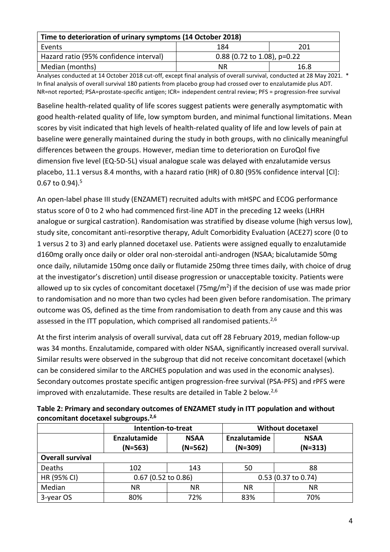| Time to deterioration of urinary symptoms (14 October 2018) |                               |      |  |
|-------------------------------------------------------------|-------------------------------|------|--|
| Events                                                      | 184                           | 201  |  |
| Hazard ratio (95% confidence interval)                      | $0.88$ (0.72 to 1.08), p=0.22 |      |  |
| Median (months)                                             | ΝR                            | 16.8 |  |

Analyses conducted at 14 October 2018 cut-off, except final analysis of overall survival, conducted at 28 May 2021. \* In final analysis of overall survival 180 patients from placebo group had crossed over to enzalutamide plus ADT. NR=not reported; PSA=prostate-specific antigen; ICR= independent central review; PFS = progression-free survival

Baseline health-related quality of life scores suggest patients were generally asymptomatic with good health-related quality of life, low symptom burden, and minimal functional limitations. Mean scores by visit indicated that high levels of health-related quality of life and low levels of pain at baseline were generally maintained during the study in both groups, with no clinically meaningful differences between the groups. However, median time to deterioration on EuroQol five dimension five level (EQ-5D-5L) visual analogue scale was delayed with enzalutamide versus placebo, 11.1 versus 8.4 months, with a hazard ratio (HR) of 0.80 (95% confidence interval [CI]: 0.67 to 0.94). $5$ 

An open-label phase III study (ENZAMET) recruited adults with mHSPC and ECOG performance status score of 0 to 2 who had commenced first-line ADT in the preceding 12 weeks (LHRH analogue or surgical castration). Randomisation was stratified by disease volume (high versus low), study site, concomitant anti-resorptive therapy, Adult Comorbidity Evaluation (ACE27) score (0 to 1 versus 2 to 3) and early planned docetaxel use. Patients were assigned equally to enzalutamide d160mg orally once daily or older oral non-steroidal anti-androgen (NSAA; bicalutamide 50mg once daily, nilutamide 150mg once daily or flutamide 250mg three times daily, with choice of drug at the investigator's discretion) until disease progression or unacceptable toxicity. Patients were allowed up to six cycles of concomitant docetaxel (75mg/m<sup>2</sup>) if the decision of use was made prior to randomisation and no more than two cycles had been given before randomisation. The primary outcome was OS, defined as the time from randomisation to death from any cause and this was assessed in the ITT population, which comprised all randomised patients. $2,6$ 

At the first interim analysis of overall survival, data cut off 28 February 2019, median follow-up was 34 months. Enzalutamide, compared with older NSAA, significantly increased overall survival. Similar results were observed in the subgroup that did not receive concomitant docetaxel (which can be considered similar to the ARCHES population and was used in the economic analyses). Secondary outcomes prostate specific antigen progression-free survival (PSA-PFS) and rPFS were improved with enzalutamide. These results are detailed in Table 2 below.<sup>2,6</sup>

|                         | Intention-to-treat        |                          | <b>Without docetaxel</b>  |                          |
|-------------------------|---------------------------|--------------------------|---------------------------|--------------------------|
|                         | Enzalutamide<br>$(N=563)$ | <b>NSAA</b><br>$(N=562)$ | Enzalutamide<br>$(N=309)$ | <b>NSAA</b><br>$(N=313)$ |
| <b>Overall survival</b> |                           |                          |                           |                          |
| Deaths                  | 102                       | 143                      | 50                        | 88                       |
| HR (95% CI)             | $0.67$ (0.52 to 0.86)     |                          | 0.53 (0.37 to 0.74)       |                          |
| Median                  | ΝR                        | <b>NR</b>                | <b>NR</b>                 | <b>NR</b>                |
| 3-year OS               | 80%                       | 72%                      | 83%                       | 70%                      |

**Table 2: Primary and secondary outcomes of ENZAMET study in ITT population and without concomitant docetaxel subgroups. 2,6**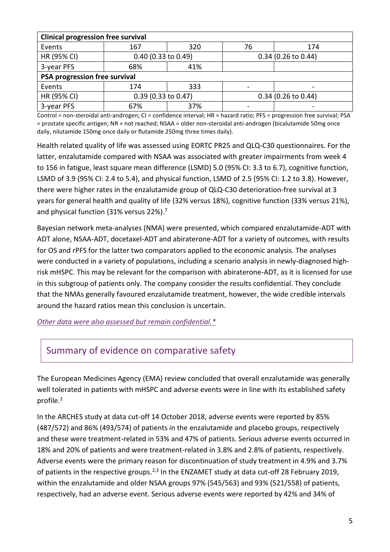| <b>Clinical progression free survival</b> |                       |     |                       |                          |
|-------------------------------------------|-----------------------|-----|-----------------------|--------------------------|
| Events                                    | 167                   | 320 | 76                    | 174                      |
| HR (95% CI)                               | $0.40$ (0.33 to 0.49) |     | $0.34$ (0.26 to 0.44) |                          |
| 3-year PFS                                | 68%                   | 41% |                       |                          |
| PSA progression free survival             |                       |     |                       |                          |
| Events                                    | 174                   | 333 |                       | $\,$                     |
| HR (95% CI)                               | 0.39 (0.33 to 0.47)   |     | $0.34$ (0.26 to 0.44) |                          |
| 3-year PFS                                | 67%                   | 37% |                       | $\overline{\phantom{a}}$ |

Control = non-steroidal anti-androgen; CI = confidence interval; HR = hazard ratio; PFS = progression free survival; PSA = prostate specific antigen; NR = not reached; NSAA = older non-steroidal anti-androgen (bicalutamide 50mg once daily, nilutamide 150mg once daily or flutamide 250mg three times daily).

Health related quality of life was assessed using EORTC PR25 and QLQ-C30 questionnaires. For the latter, enzalutamide compared with NSAA was associated with greater impairments from week 4 to 156 in fatigue, least square mean difference (LSMD) 5.0 (95% CI: 3.3 to 6.7), cognitive function, LSMD of 3.9 (95% CI: 2.4 to 5.4), and physical function, LSMD of 2.5 (95% CI: 1.2 to 3.8). However, there were higher rates in the enzalutamide group of QLQ-C30 deterioration-free survival at 3 years for general health and quality of life (32% versus 18%), cognitive function (33% versus 21%), and physical function (31% versus 22%). 7

Bayesian network meta-analyses (NMA) were presented, which compared enzalutamide-ADT with ADT alone, NSAA-ADT, docetaxel-ADT and abiraterone-ADT for a variety of outcomes, with results for OS and rPFS for the latter two comparators applied to the economic analysis. The analyses were conducted in a variety of populations, including a scenario analysis in newly-diagnosed highrisk mHSPC. This may be relevant for the comparison with abiraterone-ADT, as it is licensed for use in this subgroup of patients only. The company consider the results confidential. They conclude that the NMAs generally favoured enzalutamide treatment, however, the wide credible intervals around the hazard ratios mean this conclusion is uncertain.

*[Other data were also assessed but remain confidential.\\*](https://www.scottishmedicines.org.uk/media/3572/20180710-release-of-company-data.pdf)*

### Summary of evidence on comparative safety

The European Medicines Agency (EMA) review concluded that overall enzalutamide was generally well tolerated in patients with mHSPC and adverse events were in line with its established safety profile. 2

In the ARCHES study at data cut-off 14 October 2018, adverse events were reported by 85% (487/572) and 86% (493/574) of patients in the enzalutamide and placebo groups, respectively and these were treatment-related in 53% and 47% of patients. Serious adverse events occurred in 18% and 20% of patients and were treatment-related in 3.8% and 2.8% of patients, respectively. Adverse events were the primary reason for discontinuation of study treatment in 4.9% and 3.7% of patients in the respective groups.<sup>2,3</sup> In the ENZAMET study at data cut-off 28 February 2019, within the enzalutamide and older NSAA groups 97% (545/563) and 93% (521/558) of patients, respectively, had an adverse event. Serious adverse events were reported by 42% and 34% of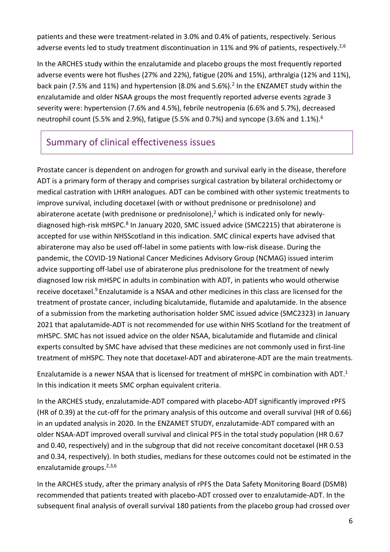patients and these were treatment-related in 3.0% and 0.4% of patients, respectively. Serious adverse events led to study treatment discontinuation in 11% and 9% of patients, respectively.<sup>2,6</sup>

In the ARCHES study within the enzalutamide and placebo groups the most frequently reported adverse events were hot flushes (27% and 22%), fatigue (20% and 15%), arthralgia (12% and 11%), back pain (7.5% and 11%) and hypertension (8.0% and 5.6%).<sup>2</sup> In the ENZAMET study within the enzalutamide and older NSAA groups the most frequently reported adverse events ≥grade 3 severity were: hypertension (7.6% and 4.5%), febrile neutropenia (6.6% and 5.7%), decreased neutrophil count (5.5% and 2.9%), fatigue (5.5% and 0.7%) and syncope (3.6% and 1.1%).<sup>6</sup>

# Summary of clinical effectiveness issues

Prostate cancer is dependent on androgen for growth and survival early in the disease, therefore ADT is a primary form of therapy and comprises surgical castration by bilateral orchidectomy or medical castration with LHRH analogues. ADT can be combined with other systemic treatments to improve survival, including docetaxel (with or without prednisone or prednisolone) and abiraterone acetate (with prednisone or prednisolone),<sup>2</sup> which is indicated only for newlydiagnosed high-risk mHSPC.<sup>8</sup> In January 2020, SMC issued advice (SMC2215) that abiraterone is accepted for use within NHSScotland in this indication. SMC clinical experts have advised that abiraterone may also be used off-label in some patients with low-risk disease. During the pandemic, the COVID-19 National Cancer Medicines Advisory Group (NCMAG) issued interim advice supporting off-label use of abiraterone plus prednisolone for the treatment of newly diagnosed low risk mHSPC in adults in combination with ADT, in patients who would otherwise receive docetaxel.<sup>9</sup> Enzalutamide is a NSAA and other medicines in this class are licensed for the treatment of prostate cancer, including bicalutamide, flutamide and apalutamide. In the absence of a submission from the marketing authorisation holder SMC issued advice (SMC2323) in January 2021 that apalutamide-ADT is not recommended for use within NHS Scotland for the treatment of mHSPC. SMC has not issued advice on the older NSAA, bicalutamide and flutamide and clinical experts consulted by SMC have advised that these medicines are not commonly used in first-line treatment of mHSPC. They note that docetaxel-ADT and abiraterone-ADT are the main treatments.

Enzalutamide is a newer NSAA that is licensed for treatment of mHSPC in combination with ADT. 1 In this indication it meets SMC orphan equivalent criteria.

In the ARCHES study, enzalutamide-ADT compared with placebo-ADT significantly improved rPFS (HR of 0.39) at the cut-off for the primary analysis of this outcome and overall survival (HR of 0.66) in an updated analysis in 2020. In the ENZAMET STUDY, enzalutamide-ADT compared with an older NSAA-ADT improved overall survival and clinical PFS in the total study population (HR 0.67 and 0.40, respectively) and in the subgroup that did not receive concomitant docetaxel (HR 0.53 and 0.34, respectively). In both studies, medians for these outcomes could not be estimated in the enzalutamide groups. 2,3,6

In the ARCHES study, after the primary analysis of rPFS the Data Safety Monitoring Board (DSMB) recommended that patients treated with placebo-ADT crossed over to enzalutamide-ADT. In the subsequent final analysis of overall survival 180 patients from the placebo group had crossed over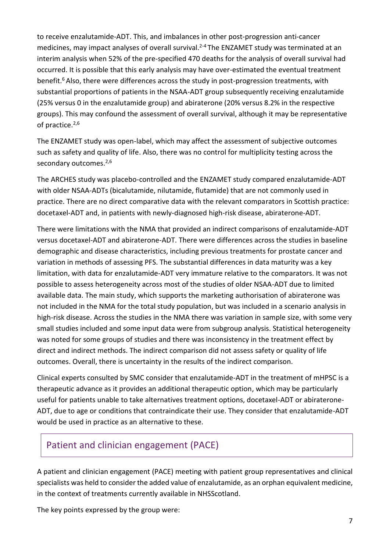to receive enzalutamide-ADT. This, and imbalances in other post-progression anti-cancer medicines, may impact analyses of overall survival.<sup>2-4</sup> The ENZAMET study was terminated at an interim analysis when 52% of the pre-specified 470 deaths for the analysis of overall survival had occurred. It is possible that this early analysis may have over-estimated the eventual treatment benefit.<sup>6</sup> Also, there were differences across the study in post-progression treatments, with substantial proportions of patients in the NSAA-ADT group subsequently receiving enzalutamide (25% versus 0 in the enzalutamide group) and abiraterone (20% versus 8.2% in the respective groups). This may confound the assessment of overall survival, although it may be representative of practice. $2,6$ 

The ENZAMET study was open-label, which may affect the assessment of subjective outcomes such as safety and quality of life. Also, there was no control for multiplicity testing across the secondary outcomes.<sup>2,6</sup>

The ARCHES study was placebo-controlled and the ENZAMET study compared enzalutamide-ADT with older NSAA-ADTs (bicalutamide, nilutamide, flutamide) that are not commonly used in practice. There are no direct comparative data with the relevant comparators in Scottish practice: docetaxel-ADT and, in patients with newly-diagnosed high-risk disease, abiraterone-ADT.

There were limitations with the NMA that provided an indirect comparisons of enzalutamide-ADT versus docetaxel-ADT and abiraterone-ADT. There were differences across the studies in baseline demographic and disease characteristics, including previous treatments for prostate cancer and variation in methods of assessing PFS. The substantial differences in data maturity was a key limitation, with data for enzalutamide-ADT very immature relative to the comparators. It was not possible to assess heterogeneity across most of the studies of older NSAA-ADT due to limited available data. The main study, which supports the marketing authorisation of abiraterone was not included in the NMA for the total study population, but was included in a scenario analysis in high-risk disease. Across the studies in the NMA there was variation in sample size, with some very small studies included and some input data were from subgroup analysis. Statistical heterogeneity was noted for some groups of studies and there was inconsistency in the treatment effect by direct and indirect methods. The indirect comparison did not assess safety or quality of life outcomes. Overall, there is uncertainty in the results of the indirect comparison.

Clinical experts consulted by SMC consider that enzalutamide-ADT in the treatment of mHPSC is a therapeutic advance as it provides an additional therapeutic option, which may be particularly useful for patients unable to take alternatives treatment options, docetaxel-ADT or abiraterone-ADT, due to age or conditions that contraindicate their use. They consider that enzalutamide-ADT would be used in practice as an alternative to these.

### Patient and clinician engagement (PACE)

A patient and clinician engagement (PACE) meeting with patient group representatives and clinical specialists was held to consider the added value of enzalutamide, as an orphan equivalent medicine, in the context of treatments currently available in NHSScotland.

The key points expressed by the group were: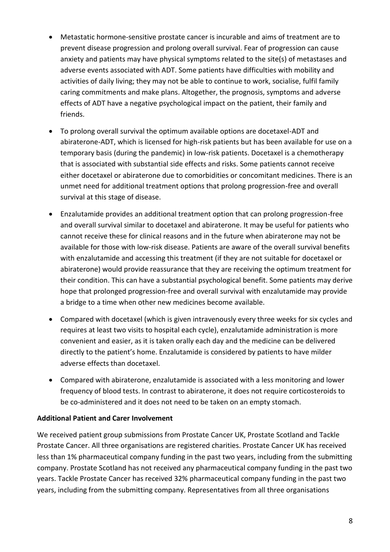- Metastatic hormone-sensitive prostate cancer is incurable and aims of treatment are to prevent disease progression and prolong overall survival. Fear of progression can cause anxiety and patients may have physical symptoms related to the site(s) of metastases and adverse events associated with ADT. Some patients have difficulties with mobility and activities of daily living; they may not be able to continue to work, socialise, fulfil family caring commitments and make plans. Altogether, the prognosis, symptoms and adverse effects of ADT have a negative psychological impact on the patient, their family and friends.
- To prolong overall survival the optimum available options are docetaxel-ADT and abiraterone-ADT, which is licensed for high-risk patients but has been available for use on a temporary basis (during the pandemic) in low-risk patients. Docetaxel is a chemotherapy that is associated with substantial side effects and risks. Some patients cannot receive either docetaxel or abiraterone due to comorbidities or concomitant medicines. There is an unmet need for additional treatment options that prolong progression-free and overall survival at this stage of disease.
- Enzalutamide provides an additional treatment option that can prolong progression-free and overall survival similar to docetaxel and abiraterone. It may be useful for patients who cannot receive these for clinical reasons and in the future when abiraterone may not be available for those with low-risk disease. Patients are aware of the overall survival benefits with enzalutamide and accessing this treatment (if they are not suitable for docetaxel or abiraterone) would provide reassurance that they are receiving the optimum treatment for their condition. This can have a substantial psychological benefit. Some patients may derive hope that prolonged progression-free and overall survival with enzalutamide may provide a bridge to a time when other new medicines become available.
- Compared with docetaxel (which is given intravenously every three weeks for six cycles and requires at least two visits to hospital each cycle), enzalutamide administration is more convenient and easier, as it is taken orally each day and the medicine can be delivered directly to the patient's home. Enzalutamide is considered by patients to have milder adverse effects than docetaxel.
- Compared with abiraterone, enzalutamide is associated with a less monitoring and lower frequency of blood tests. In contrast to abiraterone, it does not require corticosteroids to be co-administered and it does not need to be taken on an empty stomach.

#### **Additional Patient and Carer Involvement**

We received patient group submissions from Prostate Cancer UK, Prostate Scotland and Tackle Prostate Cancer. All three organisations are registered charities. Prostate Cancer UK has received less than 1% pharmaceutical company funding in the past two years, including from the submitting company. Prostate Scotland has not received any pharmaceutical company funding in the past two years. Tackle Prostate Cancer has received 32% pharmaceutical company funding in the past two years, including from the submitting company. Representatives from all three organisations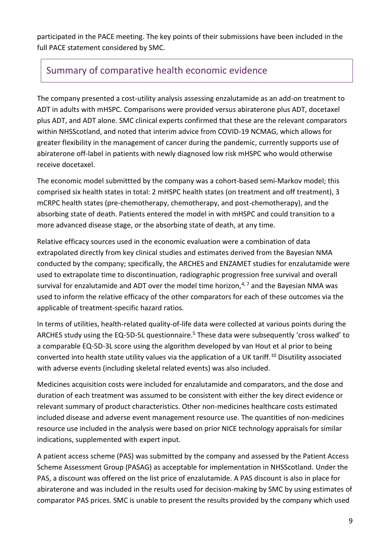participated in the PACE meeting. The key points of their submissions have been included in the full PACE statement considered by SMC.

### Summary of comparative health economic evidence

The company presented a cost-utility analysis assessing enzalutamide as an add-on treatment to ADT in adults with mHSPC. Comparisons were provided versus abiraterone plus ADT, docetaxel plus ADT, and ADT alone. SMC clinical experts confirmed that these are the relevant comparators within NHSScotland, and noted that interim advice from COVID-19 NCMAG, which allows for greater flexibility in the management of cancer during the pandemic, currently supports use of abiraterone off-label in patients with newly diagnosed low risk mHSPC who would otherwise receive docetaxel.

The economic model submittted by the company was a cohort-based semi-Markov model; this comprised six health states in total: 2 mHSPC health states (on treatment and off treatment), 3 mCRPC health states (pre-chemotherapy, chemotherapy, and post-chemotherapy), and the absorbing state of death. Patients entered the model in with mHSPC and could transition to a more advanced disease stage, or the absorbing state of death, at any time.

Relative efficacy sources used in the economic evaluation were a combination of data extrapolated directly from key clinical studies and estimates derived from the Bayesian NMA conducted by the company; specifically, the ARCHES and ENZAMET studies for enzalutamide were used to extrapolate time to discontinuation, radiographic progression free survival and overall survival for enzalutamide and ADT over the model time horizon, $4,7$  and the Bayesian NMA was used to inform the relative efficacy of the other comparators for each of these outcomes via the applicable of treatment-specific hazard ratios.

In terms of utilities, health-related quality-of-life data were collected at various points during the ARCHES study using the EQ-5D-5L questionnaire.<sup>5</sup> These data were subsequently 'cross walked' to a comparable EQ-5D-3L score using the algorithm developed by van Hout et al prior to being converted into health state utility values via the application of a UK tariff.<sup>10</sup> Disutility associated with adverse events (including skeletal related events) was also included.

Medicines acquisition costs were included for enzalutamide and comparators, and the dose and duration of each treatment was assumed to be consistent with either the key direct evidence or relevant summary of product characteristics. Other non-medicines healthcare costs estimated included disease and adverse event management resource use. The quantities of non-medicines resource use included in the analysis were based on prior NICE technology appraisals for similar indications, supplemented with expert input.

A patient access scheme (PAS) was submitted by the company and assessed by the Patient Access Scheme Assessment Group (PASAG) as acceptable for implementation in NHSScotland. Under the PAS, a discount was offered on the list price of enzalutamide. A PAS discount is also in place for abiraterone and was included in the results used for decision-making by SMC by using estimates of comparator PAS prices. SMC is unable to present the results provided by the company which used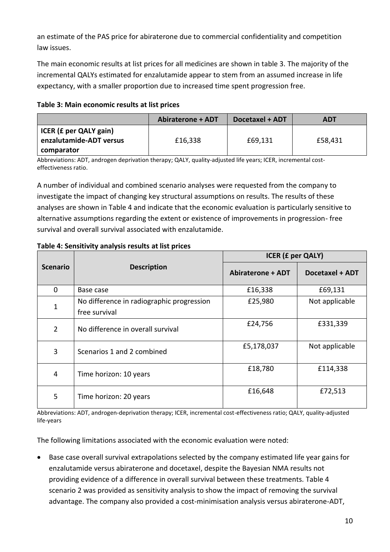an estimate of the PAS price for abiraterone due to commercial confidentiality and competition law issues.

The main economic results at list prices for all medicines are shown in table 3. The majority of the incremental QALYs estimated for enzalutamide appear to stem from an assumed increase in life expectancy, with a smaller proportion due to increased time spent progression free.

| Table 3: Main economic results at list prices |  |  |
|-----------------------------------------------|--|--|
|-----------------------------------------------|--|--|

|                                                                 | <b>Abiraterone + ADT</b> | Docetaxel + ADT | ADT     |
|-----------------------------------------------------------------|--------------------------|-----------------|---------|
| ICER (£ per QALY gain)<br>enzalutamide-ADT versus<br>comparator | £16,338                  | £69,131         | £58,431 |

Abbreviations: ADT, androgen deprivation therapy; QALY, quality-adjusted life years; ICER, incremental costeffectiveness ratio.

A number of individual and combined scenario analyses were requested from the company to investigate the impact of changing key structural assumptions on results. The results of these analyses are shown in Table 4 and indicate that the economic evaluation is particularly sensitive to alternative assumptions regarding the extent or existence of improvements in progression- free survival and overall survival associated with enzalutamide.

|                 |                                                            | <b>ICER (£ per QALY)</b> |                 |
|-----------------|------------------------------------------------------------|--------------------------|-----------------|
| <b>Scenario</b> | <b>Description</b>                                         | <b>Abiraterone + ADT</b> | Docetaxel + ADT |
| 0               | Base case                                                  | £16,338                  | £69,131         |
| 1               | No difference in radiographic progression<br>free survival | £25,980                  | Not applicable  |
| $\overline{2}$  | No difference in overall survival                          | £24,756                  | £331,339        |
| 3               | Scenarios 1 and 2 combined                                 | £5,178,037               | Not applicable  |
| 4               | Time horizon: 10 years                                     | £18,780                  | £114,338        |
| 5               | Time horizon: 20 years                                     | £16,648                  | £72,513         |

#### **Table 4: Sensitivity analysis results at list prices**

Abbreviations: ADT, androgen-deprivation therapy; ICER, incremental cost-effectiveness ratio; QALY, quality-adjusted life-years

The following limitations associated with the economic evaluation were noted:

 Base case overall survival extrapolations selected by the company estimated life year gains for enzalutamide versus abiraterone and docetaxel, despite the Bayesian NMA results not providing evidence of a difference in overall survival between these treatments. Table 4 scenario 2 was provided as sensitivity analysis to show the impact of removing the survival advantage. The company also provided a cost-minimisation analysis versus abiraterone-ADT,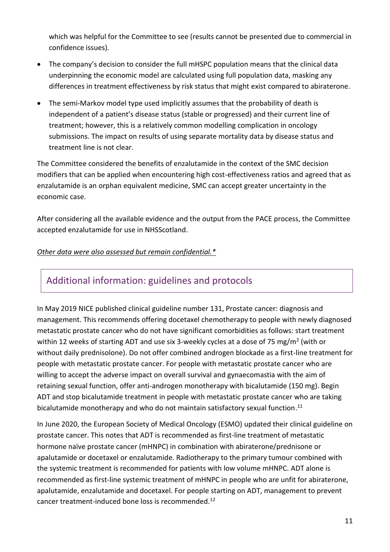which was helpful for the Committee to see (results cannot be presented due to commercial in confidence issues).

- The company's decision to consider the full mHSPC population means that the clinical data underpinning the economic model are calculated using full population data, masking any differences in treatment effectiveness by risk status that might exist compared to abiraterone.
- The semi-Markov model type used implicitly assumes that the probability of death is independent of a patient's disease status (stable or progressed) and their current line of treatment; however, this is a relatively common modelling complication in oncology submissions. The impact on results of using separate mortality data by disease status and treatment line is not clear.

The Committee considered the benefits of enzalutamide in the context of the SMC decision modifiers that can be applied when encountering high cost-effectiveness ratios and agreed that as enzalutamide is an orphan equivalent medicine, SMC can accept greater uncertainty in the economic case.

After considering all the available evidence and the output from the PACE process, the Committee accepted enzalutamide for use in NHSScotland.

#### *Other data were also assessed but remain confidential.\**

### Additional information: guidelines and protocols

In May 2019 NICE published clinical guideline number 131, Prostate cancer: diagnosis and management. This recommends offering docetaxel chemotherapy to people with newly diagnosed metastatic prostate cancer who do not have significant comorbidities as follows: start treatment within 12 weeks of starting ADT and use six 3-weekly cycles at a dose of 75 mg/m<sup>2</sup> (with or without daily prednisolone). Do not offer combined androgen blockade as a first-line treatment for people with metastatic prostate cancer. For people with metastatic prostate cancer who are willing to accept the adverse impact on overall survival and gynaecomastia with the aim of retaining sexual function, offer anti-androgen monotherapy with bicalutamide (150 mg). Begin ADT and stop bicalutamide treatment in people with metastatic prostate cancer who are taking bicalutamide monotherapy and who do not maintain satisfactory sexual function.<sup>11</sup>

In June 2020, the European Society of Medical Oncology (ESMO) updated their clinical guideline on prostate cancer. This notes that ADT is recommended as first-line treatment of metastatic hormone naïve prostate cancer (mHNPC) in combination with abiraterone/prednisone or apalutamide or docetaxel or enzalutamide. Radiotherapy to the primary tumour combined with the systemic treatment is recommended for patients with low volume mHNPC. ADT alone is recommended as first-line systemic treatment of mHNPC in people who are unfit for abiraterone, apalutamide, enzalutamide and docetaxel. For people starting on ADT, management to prevent cancer treatment-induced bone loss is recommended.<sup>12</sup>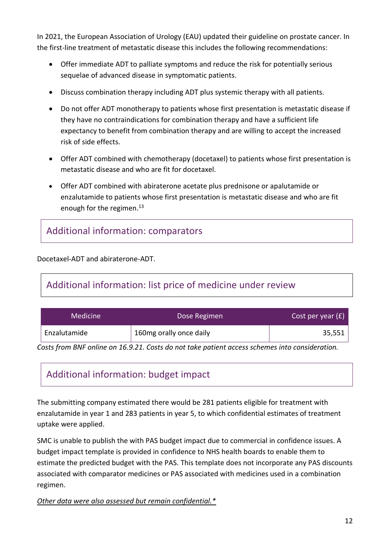In 2021, the European Association of Urology (EAU) updated their guideline on prostate cancer. In the first-line treatment of metastatic disease this includes the following recommendations:

- Offer immediate ADT to palliate symptoms and reduce the risk for potentially serious sequelae of advanced disease in symptomatic patients.
- Discuss combination therapy including ADT plus systemic therapy with all patients.
- Do not offer ADT monotherapy to patients whose first presentation is metastatic disease if they have no contraindications for combination therapy and have a sufficient life expectancy to benefit from combination therapy and are willing to accept the increased risk of side effects.
- Offer ADT combined with chemotherapy (docetaxel) to patients whose first presentation is metastatic disease and who are fit for docetaxel.
- Offer ADT combined with abiraterone acetate plus prednisone or apalutamide or enzalutamide to patients whose first presentation is metastatic disease and who are fit enough for the regimen. $^{13}$

# Additional information: comparators

Docetaxel-ADT and abiraterone-ADT.

# Additional information: list price of medicine under review

| <b>Medicine</b> | Dose Regimen            | Cost per year $(f)$ |
|-----------------|-------------------------|---------------------|
| Enzalutamide    | 160mg orally once daily | 35,551              |

*Costs from BNF online on 16.9.21. Costs do not take patient access schemes into consideration.*

# Additional information: budget impact

The submitting company estimated there would be 281 patients eligible for treatment with enzalutamide in year 1 and 283 patients in year 5, to which confidential estimates of treatment uptake were applied.

SMC is unable to publish the with PAS budget impact due to commercial in confidence issues. A budget impact template is provided in confidence to NHS health boards to enable them to estimate the predicted budget with the PAS. This template does not incorporate any PAS discounts associated with comparator medicines or PAS associated with medicines used in a combination regimen.

*Other data were also assessed but remain confidential.\**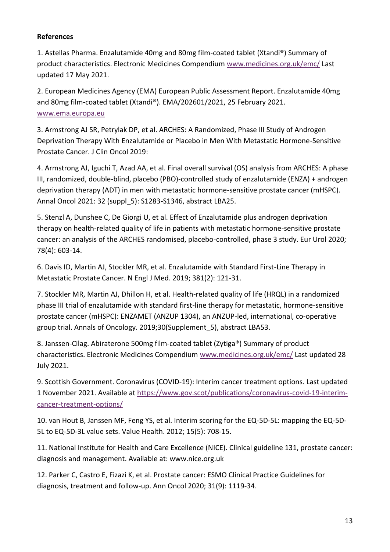#### **References**

1. Astellas Pharma. Enzalutamide 40mg and 80mg film-coated tablet (Xtandi®) Summary of product characteristics. Electronic Medicines Compendium [www.medicines.org.uk/emc/](http://www.medicines.org.uk/emc/) Last updated 17 May 2021.

2. European Medicines Agency (EMA) European Public Assessment Report. Enzalutamide 40mg and 80mg film-coated tablet (Xtandi®). EMA/202601/2021, 25 February 2021. [www.ema.europa.eu](http://www.ema.europa.eu/)

3. Armstrong AJ SR, Petrylak DP, et al. ARCHES: A Randomized, Phase III Study of Androgen Deprivation Therapy With Enzalutamide or Placebo in Men With Metastatic Hormone-Sensitive Prostate Cancer. J Clin Oncol 2019:

4. Armstrong AJ, Iguchi T, Azad AA, et al. Final overall survival (OS) analysis from ARCHES: A phase III, randomized, double-blind, placebo (PBO)-controlled study of enzalutamide (ENZA) + androgen deprivation therapy (ADT) in men with metastatic hormone-sensitive prostate cancer (mHSPC). Annal Oncol 2021: 32 (suppl\_5): S1283-S1346, abstract LBA25.

5. Stenzl A, Dunshee C, De Giorgi U, et al. Effect of Enzalutamide plus androgen deprivation therapy on health-related quality of life in patients with metastatic hormone-sensitive prostate cancer: an analysis of the ARCHES randomised, placebo-controlled, phase 3 study. Eur Urol 2020; 78(4): 603-14.

6. Davis ID, Martin AJ, Stockler MR, et al. Enzalutamide with Standard First-Line Therapy in Metastatic Prostate Cancer. N Engl J Med. 2019; 381(2): 121-31.

7. Stockler MR, Martin AJ, Dhillon H, et al. Health-related quality of life (HRQL) in a randomized phase III trial of enzalutamide with standard first-line therapy for metastatic, hormone-sensitive prostate cancer (mHSPC): ENZAMET (ANZUP 1304), an ANZUP-led, international, co-operative group trial. Annals of Oncology. 2019;30(Supplement\_5), abstract LBA53.

8. Janssen-Cilag. Abiraterone 500mg film-coated tablet (Zytiga®) Summary of product characteristics. Electronic Medicines Compendium [www.medicines.org.uk/emc/](http://www.medicines.org.uk/emc/) Last updated 28 July 2021.

9. Scottish Government. Coronavirus (COVID-19): Interim cancer treatment options. Last updated 1 November 2021. Available at [https://www.gov.scot/publications/coronavirus-covid-19-interim](https://www.gov.scot/publications/coronavirus-covid-19-interim-cancer-treatment-options/)[cancer-treatment-options/](https://www.gov.scot/publications/coronavirus-covid-19-interim-cancer-treatment-options/)

10. van Hout B, Janssen MF, Feng YS, et al. Interim scoring for the EQ-5D-5L: mapping the EQ-5D-5L to EQ-5D-3L value sets. Value Health. 2012; 15(5): 708-15.

11. National Institute for Health and Care Excellence (NICE). Clinical guideline 131, prostate cancer: diagnosis and management. Available at: www.nice.org.uk

12. Parker C, Castro E, Fizazi K, et al. Prostate cancer: ESMO Clinical Practice Guidelines for diagnosis, treatment and follow-up. Ann Oncol 2020; 31(9): 1119-34.